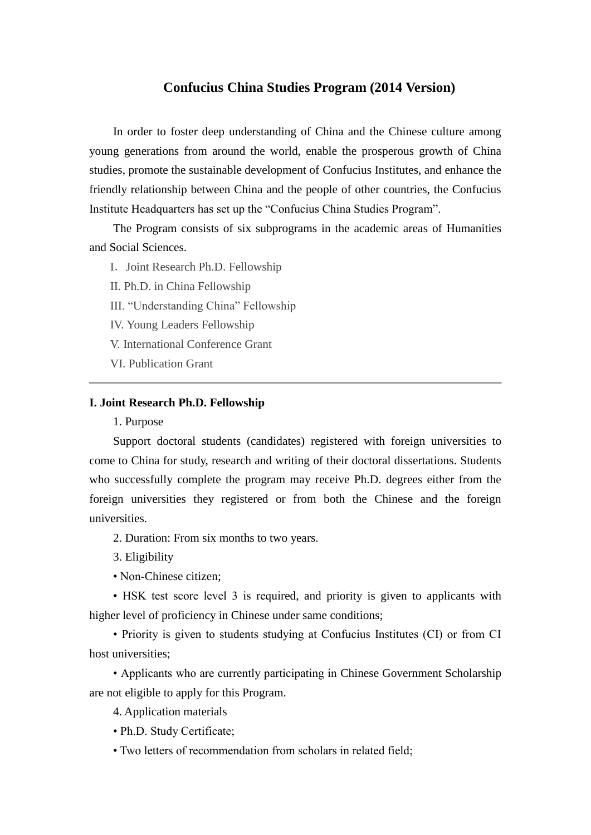## **Confucius China Studies Program (2014 Version)**

In order to foster deep understanding of China and the Chinese culture among young generations from around the world, enable the prosperous growth of China studies, promote the sustainable development of Confucius Institutes, and enhance the friendly relationship between China and the people of other countries, the Confucius Institute Headquarters has set up the "Confucius China Studies Program".

The Program consists of six subprograms in the academic areas of Humanities and Social Sciences.

I. [Joint Research Ph.D. Fellowship](http://english.hanban.org/article/2012-11/09/content_530759_2.htm)

[II. Ph.D. in China Fellowship](http://english.hanban.org/article/2012-11/09/content_530759_3.htm)

[III. "Understanding China" Fellowship](http://english.hanban.org/article/2012-11/09/content_530759_4.htm)

[IV. Young Leaders Fellowship](http://english.hanban.org/article/2012-11/09/content_530759_5.htm)

[V. International Conference Grant](http://english.hanban.org/article/2012-11/09/content_530759_6.htm)

[VI. Publication Grant](http://english.hanban.org/article/2012-11/09/content_530759_7.htm)

#### **I. Joint Research Ph.D. Fellowship**

1. Purpose

Support doctoral students (candidates) registered with foreign universities to come to China for study, research and writing of their doctoral dissertations. Students who successfully complete the program may receive Ph.D. degrees either from the foreign universities they registered or from both the Chinese and the foreign universities.

2. Duration: From six months to two years.

3. Eligibility

• Non-Chinese citizen;

• HSK test score level 3 is required, and priority is given to applicants with higher level of proficiency in Chinese under same conditions;

• Priority is given to students studying at Confucius Institutes (CI) or from CI host universities;

• Applicants who are currently participating in Chinese Government Scholarship are not eligible to apply for this Program.

4. Application materials

• Ph.D. Study Certificate;

• Two letters of recommendation from scholars in related field;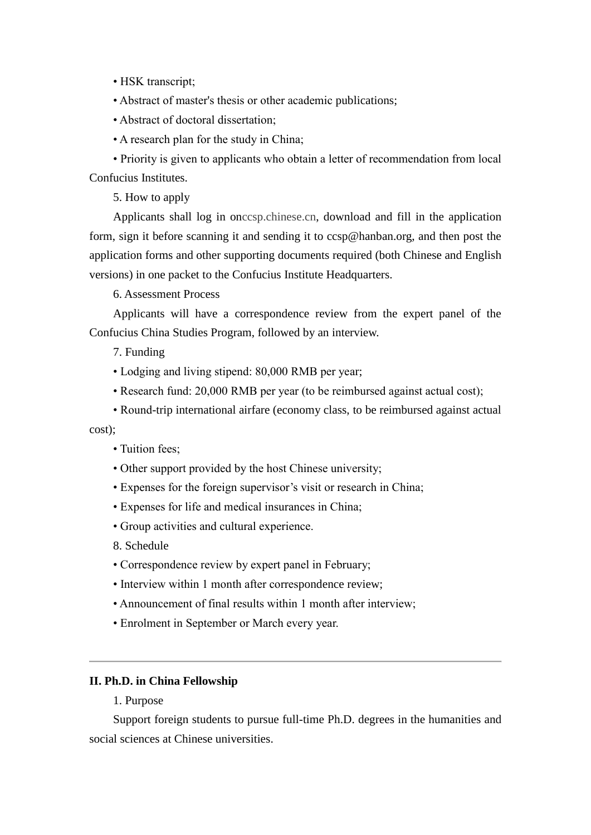- HSK transcript;
- Abstract of master's thesis or other academic publications;
- Abstract of doctoral dissertation;
- A research plan for the study in China;

• Priority is given to applicants who obtain a letter of recommendation from local Confucius Institutes.

5. How to apply

Applicants shall log in onccsp.chinese.cn, download and fill in the application form, sign it before scanning it and sending it to ccsp@hanban.org, and then post the application forms and other supporting documents required (both Chinese and English versions) in one packet to the Confucius Institute Headquarters.

6. Assessment Process

Applicants will have a correspondence review from the expert panel of the Confucius China Studies Program, followed by an interview.

- 7. Funding
- Lodging and living stipend: 80,000 RMB per year;
- Research fund: 20,000 RMB per year (to be reimbursed against actual cost);
- Round-trip international airfare (economy class, to be reimbursed against actual

cost);

- Tuition fees:
- Other support provided by the host Chinese university;
- Expenses for the foreign supervisor's visit or research in China;
- Expenses for life and medical insurances in China;
- Group activities and cultural experience.
- 8. Schedule
- Correspondence review by expert panel in February;
- Interview within 1 month after correspondence review;
- Announcement of final results within 1 month after interview;
- Enrolment in September or March every year.

## **II. Ph.D. in China Fellowship**

1. Purpose

Support foreign students to pursue full-time Ph.D. degrees in the humanities and social sciences at Chinese universities.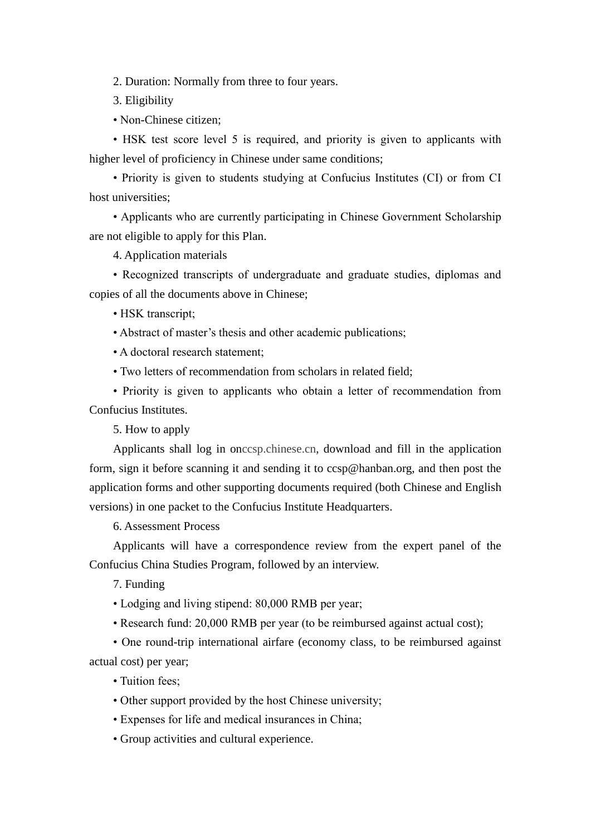2. Duration: Normally from three to four years.

- 3. Eligibility
- Non-Chinese citizen;

• HSK test score level 5 is required, and priority is given to applicants with higher level of proficiency in Chinese under same conditions;

• Priority is given to students studying at Confucius Institutes (CI) or from CI host universities;

• Applicants who are currently participating in Chinese Government Scholarship are not eligible to apply for this Plan.

4. Application materials

• Recognized transcripts of undergraduate and graduate studies, diplomas and copies of all the documents above in Chinese;

• HSK transcript;

• Abstract of master's thesis and other academic publications;

• A doctoral research statement;

• Two letters of recommendation from scholars in related field;

• Priority is given to applicants who obtain a letter of recommendation from Confucius Institutes.

5. How to apply

Applicants shall log in onccsp.chinese.cn, download and fill in the application form, sign it before scanning it and sending it to ccsp@hanban.org, and then post the application forms and other supporting documents required (both Chinese and English versions) in one packet to the Confucius Institute Headquarters.

6. Assessment Process

Applicants will have a correspondence review from the expert panel of the Confucius China Studies Program, followed by an interview.

7. Funding

- Lodging and living stipend: 80,000 RMB per year;
- Research fund: 20,000 RMB per year (to be reimbursed against actual cost);

• One round-trip international airfare (economy class, to be reimbursed against actual cost) per year;

• Tuition fees;

- Other support provided by the host Chinese university;
- Expenses for life and medical insurances in China;
- Group activities and cultural experience.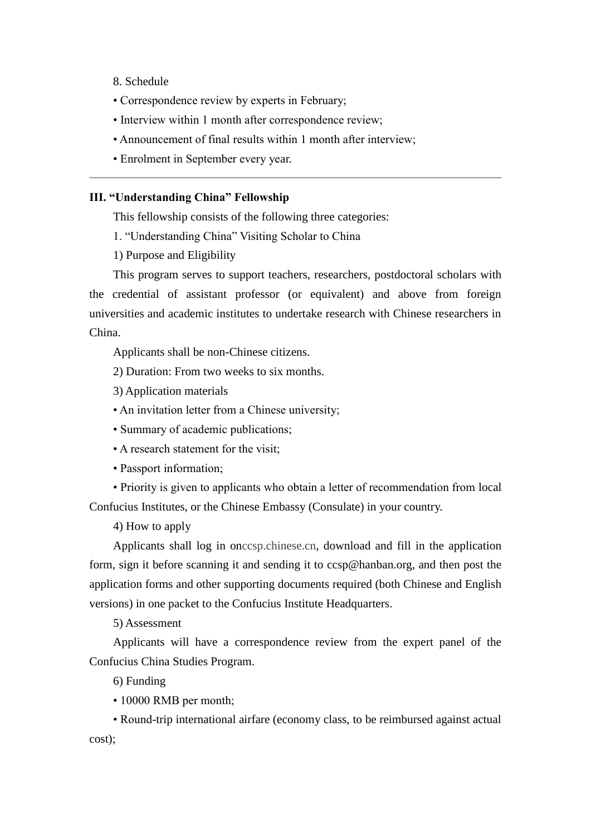- 8. Schedule
- Correspondence review by experts in February;
- Interview within 1 month after correspondence review;
- Announcement of final results within 1 month after interview;
- Enrolment in September every year.

## **III. "Understanding China" Fellowship**

This fellowship consists of the following three categories:

1. "Understanding China" Visiting Scholar to China

1) Purpose and Eligibility

This program serves to support teachers, researchers, postdoctoral scholars with the credential of assistant professor (or equivalent) and above from foreign universities and academic institutes to undertake research with Chinese researchers in China.

Applicants shall be non-Chinese citizens.

2) Duration: From two weeks to six months.

- 3) Application materials
- An invitation letter from a Chinese university;
- Summary of academic publications;
- A research statement for the visit;
- Passport information;

• Priority is given to applicants who obtain a letter of recommendation from local Confucius Institutes, or the Chinese Embassy (Consulate) in your country.

4) How to apply

Applicants shall log in onccsp.chinese.cn, download and fill in the application form, sign it before scanning it and sending it to ccsp@hanban.org, and then post the application forms and other supporting documents required (both Chinese and English versions) in one packet to the Confucius Institute Headquarters.

5) Assessment

Applicants will have a correspondence review from the expert panel of the Confucius China Studies Program.

6) Funding

• 10000 RMB per month;

• Round-trip international airfare (economy class, to be reimbursed against actual cost);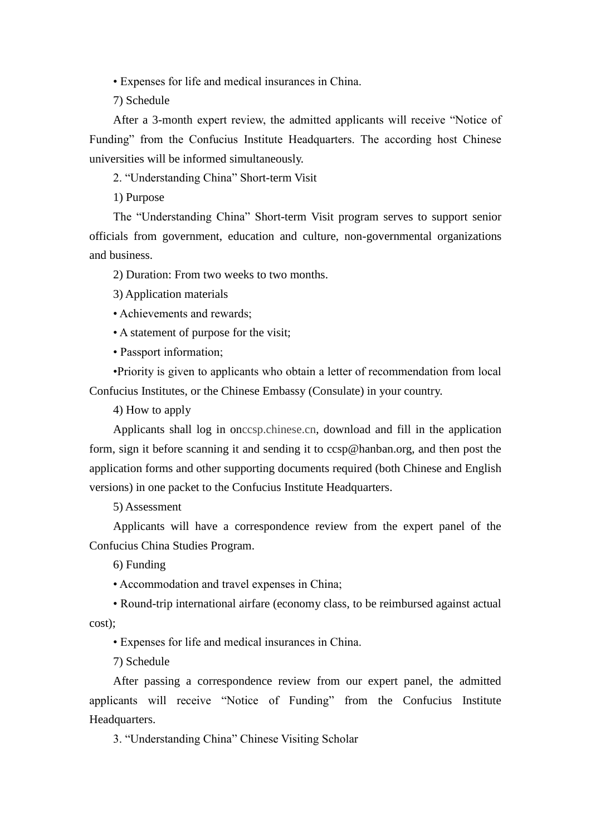• Expenses for life and medical insurances in China.

7) Schedule

After a 3-month expert review, the admitted applicants will receive "Notice of Funding" from the Confucius Institute Headquarters. The according host Chinese universities will be informed simultaneously.

2. "Understanding China" Short-term Visit

1) Purpose

The "Understanding China" Short-term Visit program serves to support senior officials from government, education and culture, non-governmental organizations and business.

2) Duration: From two weeks to two months.

3) Application materials

• Achievements and rewards;

• A statement of purpose for the visit;

• Passport information;

•Priority is given to applicants who obtain a letter of recommendation from local Confucius Institutes, or the Chinese Embassy (Consulate) in your country.

4) How to apply

Applicants shall log in onccsp.chinese.cn, download and fill in the application form, sign it before scanning it and sending it to ccsp@hanban.org, and then post the application forms and other supporting documents required (both Chinese and English versions) in one packet to the Confucius Institute Headquarters.

5) Assessment

Applicants will have a correspondence review from the expert panel of the Confucius China Studies Program.

6) Funding

• Accommodation and travel expenses in China;

• Round-trip international airfare (economy class, to be reimbursed against actual cost);

• Expenses for life and medical insurances in China.

7) Schedule

After passing a correspondence review from our expert panel, the admitted applicants will receive "Notice of Funding" from the Confucius Institute Headquarters.

3. "Understanding China" Chinese Visiting Scholar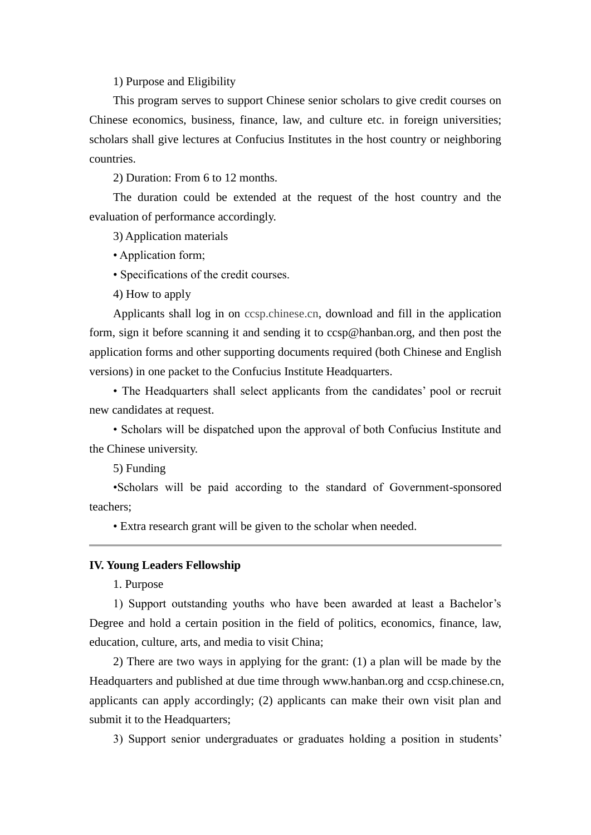1) Purpose and Eligibility

This program serves to support Chinese senior scholars to give credit courses on Chinese economics, business, finance, law, and culture etc. in foreign universities; scholars shall give lectures at Confucius Institutes in the host country or neighboring countries.

2) Duration: From 6 to 12 months.

The duration could be extended at the request of the host country and the evaluation of performance accordingly.

3) Application materials

• Application form;

• Specifications of the credit courses.

4) How to apply

Applicants shall log in on ccsp.chinese.cn, download and fill in the application form, sign it before scanning it and sending it to ccsp@hanban.org, and then post the application forms and other supporting documents required (both Chinese and English versions) in one packet to the Confucius Institute Headquarters.

• The Headquarters shall select applicants from the candidates' pool or recruit new candidates at request.

• Scholars will be dispatched upon the approval of both Confucius Institute and the Chinese university.

5) Funding

•Scholars will be paid according to the standard of Government-sponsored teachers;

• Extra research grant will be given to the scholar when needed.

#### **IV. Young Leaders Fellowship**

1. Purpose

1) Support outstanding youths who have been awarded at least a Bachelor's Degree and hold a certain position in the field of politics, economics, finance, law, education, culture, arts, and media to visit China;

2) There are two ways in applying for the grant: (1) a plan will be made by the Headquarters and published at due time through www.hanban.org and ccsp.chinese.cn, applicants can apply accordingly; (2) applicants can make their own visit plan and submit it to the Headquarters;

3) Support senior undergraduates or graduates holding a position in students'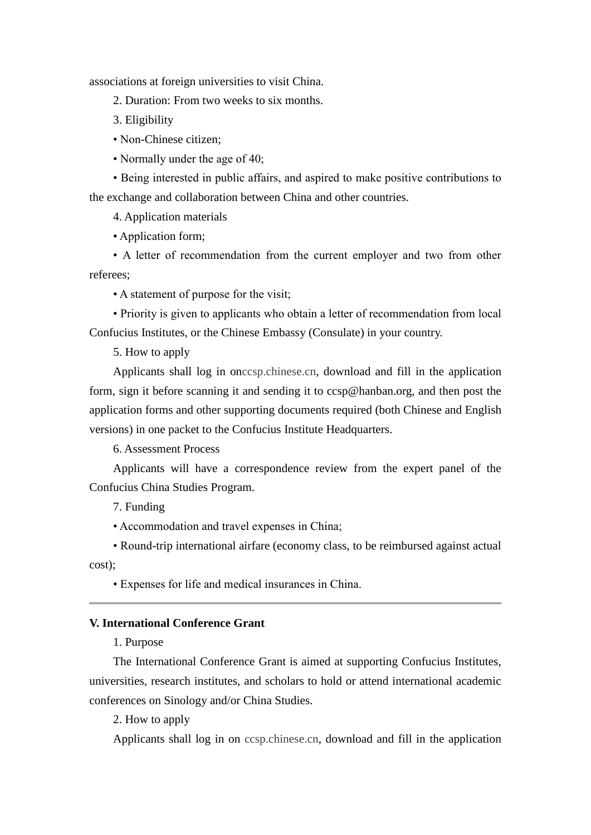associations at foreign universities to visit China.

- 2. Duration: From two weeks to six months.
- 3. Eligibility
- Non-Chinese citizen;
- Normally under the age of 40;

• Being interested in public affairs, and aspired to make positive contributions to the exchange and collaboration between China and other countries.

4. Application materials

• Application form;

• A letter of recommendation from the current employer and two from other referees;

• A statement of purpose for the visit;

• Priority is given to applicants who obtain a letter of recommendation from local Confucius Institutes, or the Chinese Embassy (Consulate) in your country.

5. How to apply

Applicants shall log in onccsp.chinese.cn, download and fill in the application form, sign it before scanning it and sending it to ccsp@hanban.org, and then post the application forms and other supporting documents required (both Chinese and English versions) in one packet to the Confucius Institute Headquarters.

6. Assessment Process

Applicants will have a correspondence review from the expert panel of the Confucius China Studies Program.

7. Funding

• Accommodation and travel expenses in China;

• Round-trip international airfare (economy class, to be reimbursed against actual cost);

• Expenses for life and medical insurances in China.

## **V. International Conference Grant**

1. Purpose

The International Conference Grant is aimed at supporting Confucius Institutes, universities, research institutes, and scholars to hold or attend international academic conferences on Sinology and/or China Studies.

2. How to apply

Applicants shall log in on ccsp.chinese.cn, download and fill in the application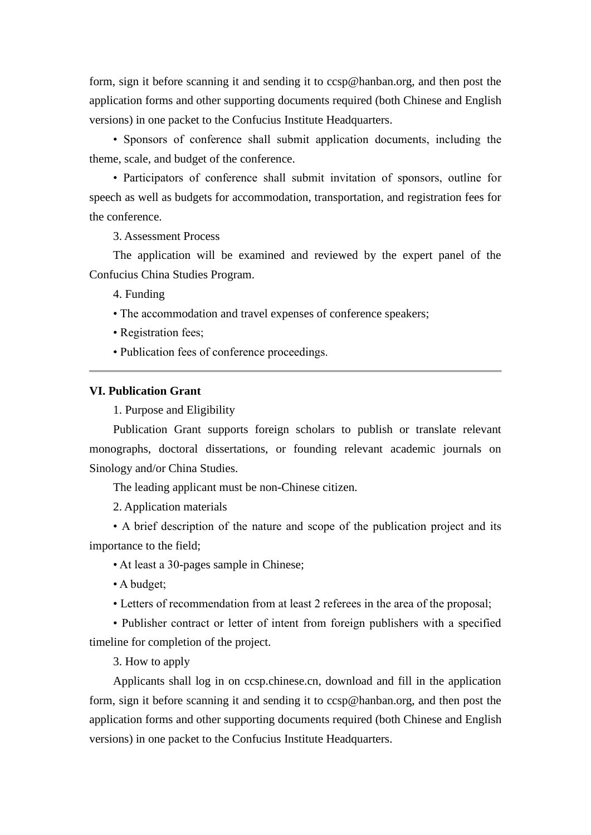form, sign it before scanning it and sending it to ccsp@hanban.org, and then post the application forms and other supporting documents required (both Chinese and English versions) in one packet to the Confucius Institute Headquarters.

• Sponsors of conference shall submit application documents, including the theme, scale, and budget of the conference.

• Participators of conference shall submit invitation of sponsors, outline for speech as well as budgets for accommodation, transportation, and registration fees for the conference.

3. Assessment Process

The application will be examined and reviewed by the expert panel of the Confucius China Studies Program.

4. Funding

- The accommodation and travel expenses of conference speakers;
- Registration fees;
- Publication fees of conference proceedings.

### **VI. Publication Grant**

1. Purpose and Eligibility

Publication Grant supports foreign scholars to publish or translate relevant monographs, doctoral dissertations, or founding relevant academic journals on Sinology and/or China Studies.

The leading applicant must be non-Chinese citizen.

2. Application materials

• A brief description of the nature and scope of the publication project and its importance to the field;

• At least a 30-pages sample in Chinese;

• A budget;

• Letters of recommendation from at least 2 referees in the area of the proposal;

• Publisher contract or letter of intent from foreign publishers with a specified timeline for completion of the project.

3. How to apply

Applicants shall log in on ccsp.chinese.cn, download and fill in the application form, sign it before scanning it and sending it to ccsp@hanban.org, and then post the application forms and other supporting documents required (both Chinese and English versions) in one packet to the Confucius Institute Headquarters.